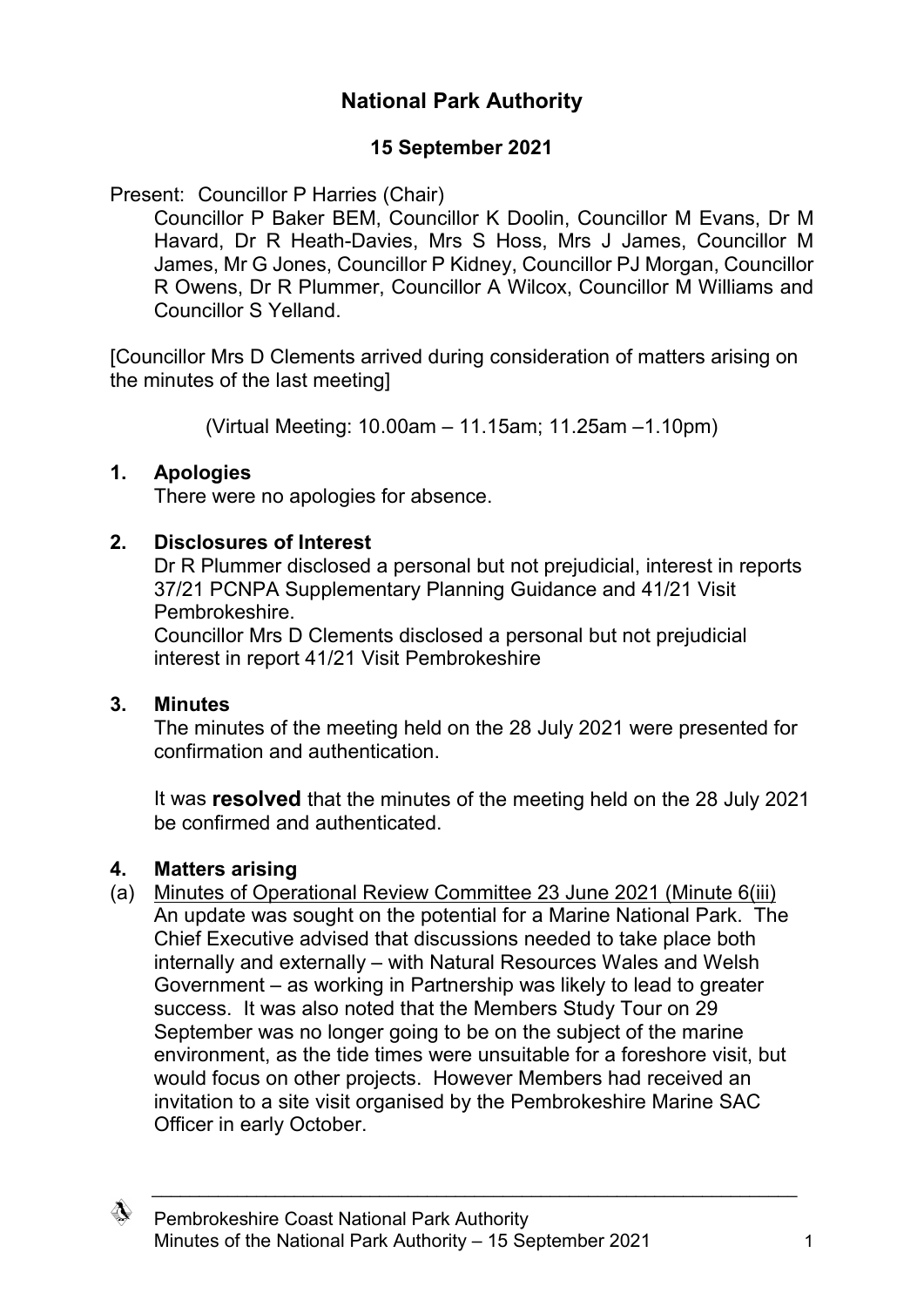# **National Park Authority**

# **15 September 2021**

Present: Councillor P Harries (Chair)

Councillor P Baker BEM, Councillor K Doolin, Councillor M Evans, Dr M Havard, Dr R Heath-Davies, Mrs S Hoss, Mrs J James, Councillor M James, Mr G Jones, Councillor P Kidney, Councillor PJ Morgan, Councillor R Owens, Dr R Plummer, Councillor A Wilcox, Councillor M Williams and Councillor S Yelland.

[Councillor Mrs D Clements arrived during consideration of matters arising on the minutes of the last meeting]

(Virtual Meeting: 10.00am – 11.15am; 11.25am –1.10pm)

## **1. Apologies**

There were no apologies for absence.

## **2. Disclosures of Interest**

Dr R Plummer disclosed a personal but not prejudicial, interest in reports 37/21 PCNPA Supplementary Planning Guidance and 41/21 Visit Pembrokeshire.

Councillor Mrs D Clements disclosed a personal but not prejudicial interest in report 41/21 Visit Pembrokeshire

## **3. Minutes**

The minutes of the meeting held on the 28 July 2021 were presented for confirmation and authentication.

It was **resolved** that the minutes of the meeting held on the 28 July 2021 be confirmed and authenticated.

# **4. Matters arising**

(a) Minutes of Operational Review Committee 23 June 2021 (Minute 6(iii) An update was sought on the potential for a Marine National Park. The Chief Executive advised that discussions needed to take place both internally and externally – with Natural Resources Wales and Welsh Government – as working in Partnership was likely to lead to greater success. It was also noted that the Members Study Tour on 29 September was no longer going to be on the subject of the marine environment, as the tide times were unsuitable for a foreshore visit, but would focus on other projects. However Members had received an invitation to a site visit organised by the Pembrokeshire Marine SAC Officer in early October.

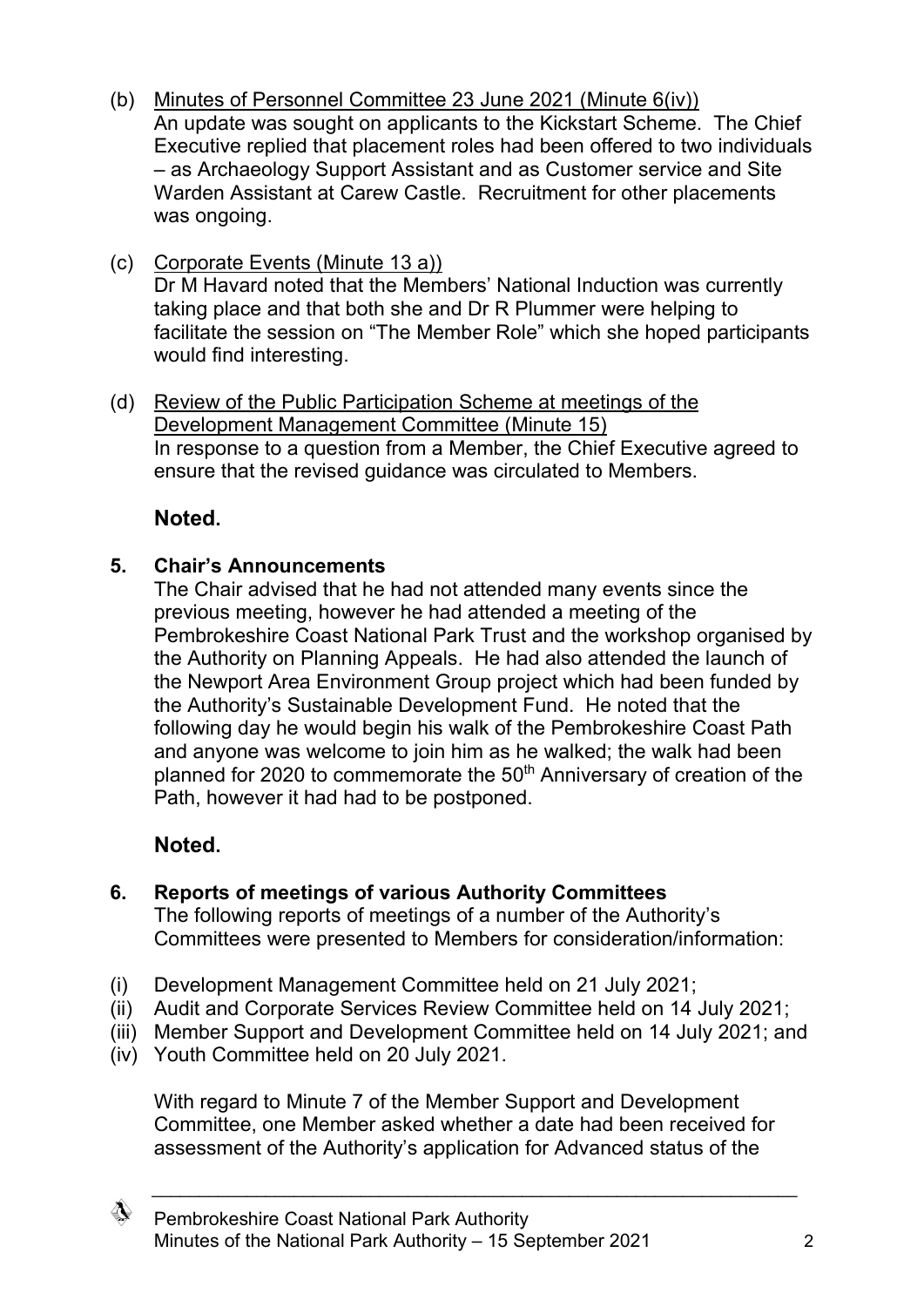- (b) Minutes of Personnel Committee 23 June 2021 (Minute 6(iv)) An update was sought on applicants to the Kickstart Scheme. The Chief Executive replied that placement roles had been offered to two individuals – as Archaeology Support Assistant and as Customer service and Site Warden Assistant at Carew Castle. Recruitment for other placements was ongoing.
- (c) Corporate Events (Minute 13 a)) Dr M Havard noted that the Members' National Induction was currently taking place and that both she and Dr R Plummer were helping to facilitate the session on "The Member Role" which she hoped participants would find interesting.
- (d) Review of the Public Participation Scheme at meetings of the Development Management Committee (Minute 15) In response to a question from a Member, the Chief Executive agreed to ensure that the revised guidance was circulated to Members.

# **Noted.**

# **5. Chair's Announcements**

The Chair advised that he had not attended many events since the previous meeting, however he had attended a meeting of the Pembrokeshire Coast National Park Trust and the workshop organised by the Authority on Planning Appeals. He had also attended the launch of the Newport Area Environment Group project which had been funded by the Authority's Sustainable Development Fund. He noted that the following day he would begin his walk of the Pembrokeshire Coast Path and anyone was welcome to join him as he walked; the walk had been planned for 2020 to commemorate the 50<sup>th</sup> Anniversary of creation of the Path, however it had had to be postponed.

# **Noted.**

# **6. Reports of meetings of various Authority Committees**

The following reports of meetings of a number of the Authority's Committees were presented to Members for consideration/information:

- (i) Development Management Committee held on 21 July 2021;
- (ii) Audit and Corporate Services Review Committee held on 14 July 2021;
- (iii) Member Support and Development Committee held on 14 July 2021; and
- (iv) Youth Committee held on 20 July 2021.

With regard to Minute 7 of the Member Support and Development Committee, one Member asked whether a date had been received for assessment of the Authority's application for Advanced status of the

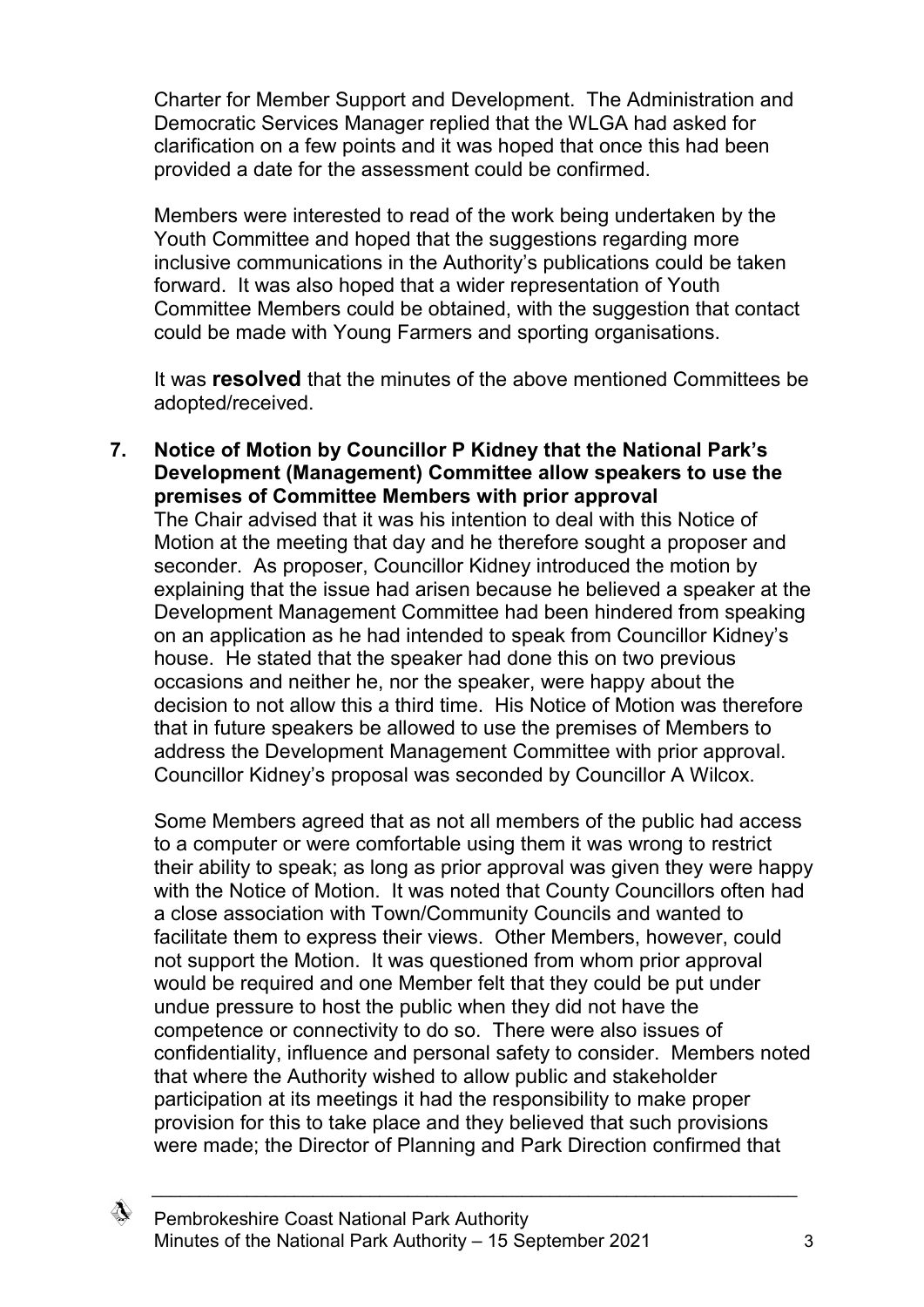Charter for Member Support and Development. The Administration and Democratic Services Manager replied that the WLGA had asked for clarification on a few points and it was hoped that once this had been provided a date for the assessment could be confirmed.

Members were interested to read of the work being undertaken by the Youth Committee and hoped that the suggestions regarding more inclusive communications in the Authority's publications could be taken forward. It was also hoped that a wider representation of Youth Committee Members could be obtained, with the suggestion that contact could be made with Young Farmers and sporting organisations.

It was **resolved** that the minutes of the above mentioned Committees be adopted/received.

**7. Notice of Motion by Councillor P Kidney that the National Park's Development (Management) Committee allow speakers to use the premises of Committee Members with prior approval**

The Chair advised that it was his intention to deal with this Notice of Motion at the meeting that day and he therefore sought a proposer and seconder. As proposer, Councillor Kidney introduced the motion by explaining that the issue had arisen because he believed a speaker at the Development Management Committee had been hindered from speaking on an application as he had intended to speak from Councillor Kidney's house. He stated that the speaker had done this on two previous occasions and neither he, nor the speaker, were happy about the decision to not allow this a third time. His Notice of Motion was therefore that in future speakers be allowed to use the premises of Members to address the Development Management Committee with prior approval. Councillor Kidney's proposal was seconded by Councillor A Wilcox.

Some Members agreed that as not all members of the public had access to a computer or were comfortable using them it was wrong to restrict their ability to speak; as long as prior approval was given they were happy with the Notice of Motion. It was noted that County Councillors often had a close association with Town/Community Councils and wanted to facilitate them to express their views. Other Members, however, could not support the Motion. It was questioned from whom prior approval would be required and one Member felt that they could be put under undue pressure to host the public when they did not have the competence or connectivity to do so. There were also issues of confidentiality, influence and personal safety to consider. Members noted that where the Authority wished to allow public and stakeholder participation at its meetings it had the responsibility to make proper provision for this to take place and they believed that such provisions were made; the Director of Planning and Park Direction confirmed that

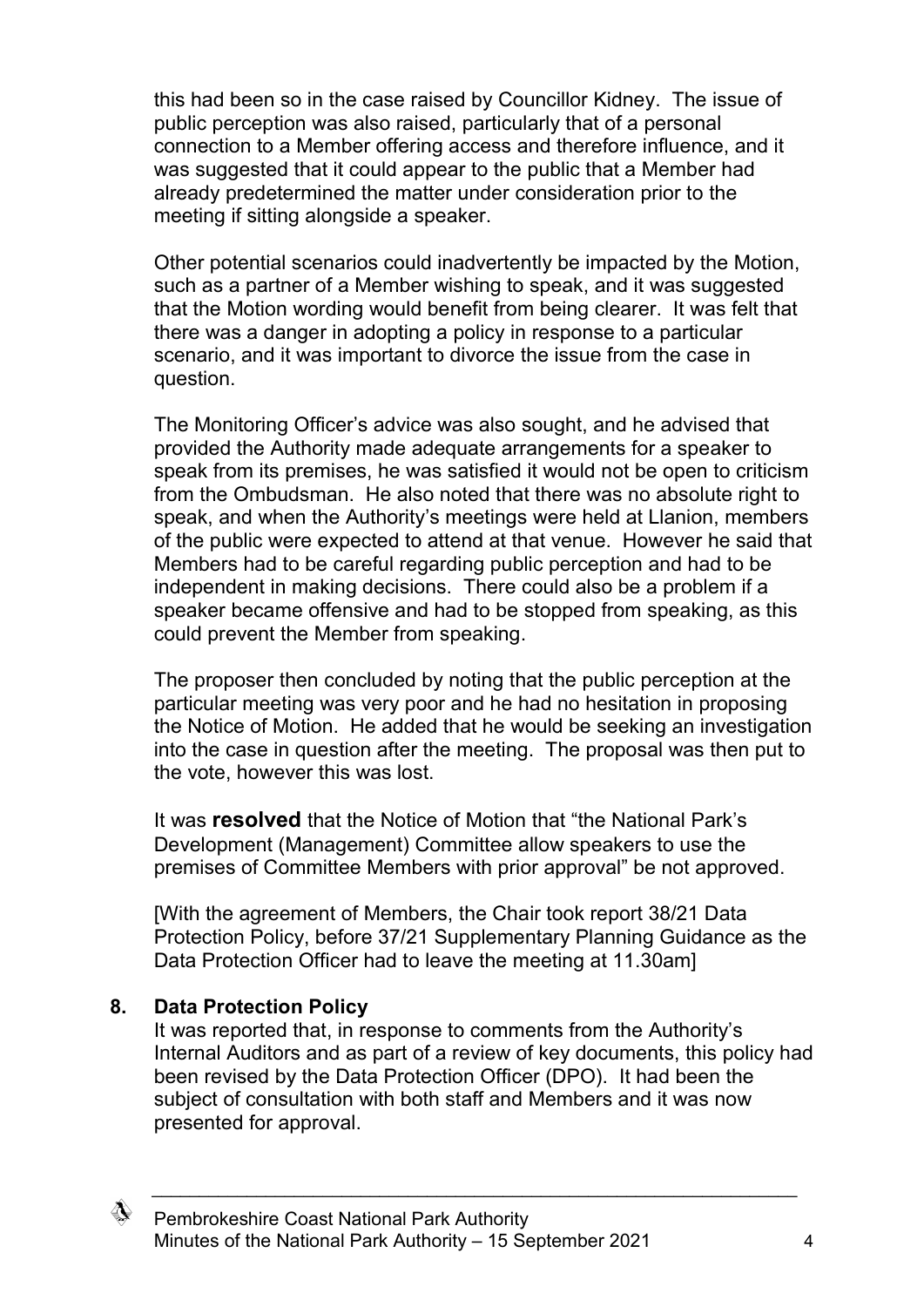this had been so in the case raised by Councillor Kidney. The issue of public perception was also raised, particularly that of a personal connection to a Member offering access and therefore influence, and it was suggested that it could appear to the public that a Member had already predetermined the matter under consideration prior to the meeting if sitting alongside a speaker.

Other potential scenarios could inadvertently be impacted by the Motion, such as a partner of a Member wishing to speak, and it was suggested that the Motion wording would benefit from being clearer. It was felt that there was a danger in adopting a policy in response to a particular scenario, and it was important to divorce the issue from the case in question.

The Monitoring Officer's advice was also sought, and he advised that provided the Authority made adequate arrangements for a speaker to speak from its premises, he was satisfied it would not be open to criticism from the Ombudsman. He also noted that there was no absolute right to speak, and when the Authority's meetings were held at Llanion, members of the public were expected to attend at that venue. However he said that Members had to be careful regarding public perception and had to be independent in making decisions. There could also be a problem if a speaker became offensive and had to be stopped from speaking, as this could prevent the Member from speaking.

The proposer then concluded by noting that the public perception at the particular meeting was very poor and he had no hesitation in proposing the Notice of Motion. He added that he would be seeking an investigation into the case in question after the meeting. The proposal was then put to the vote, however this was lost.

It was **resolved** that the Notice of Motion that "the National Park's Development (Management) Committee allow speakers to use the premises of Committee Members with prior approval" be not approved.

[With the agreement of Members, the Chair took report 38/21 Data Protection Policy, before 37/21 Supplementary Planning Guidance as the Data Protection Officer had to leave the meeting at 11.30am]

## **8. Data Protection Policy**

It was reported that, in response to comments from the Authority's Internal Auditors and as part of a review of key documents, this policy had been revised by the Data Protection Officer (DPO). It had been the subject of consultation with both staff and Members and it was now presented for approval.

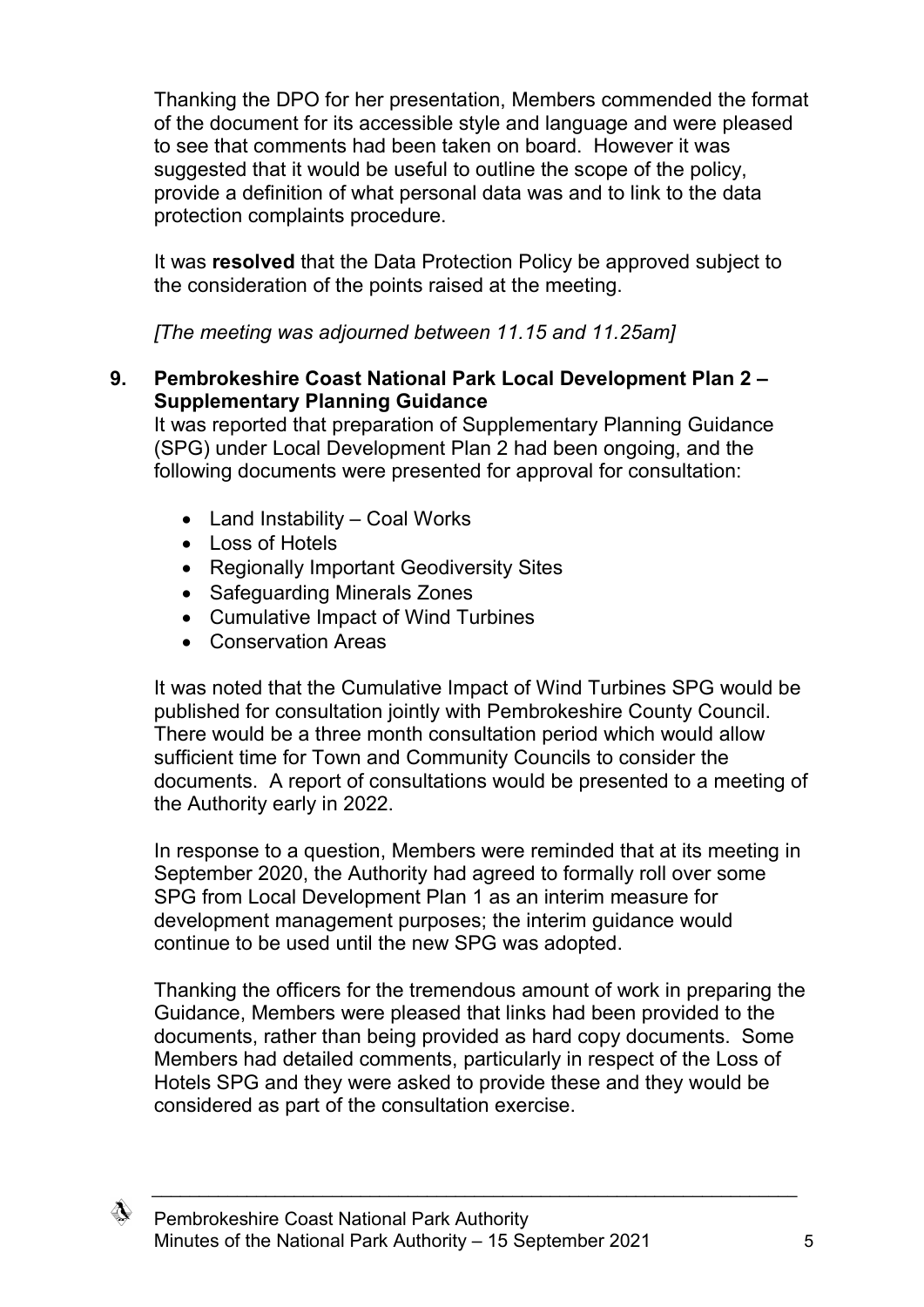Thanking the DPO for her presentation, Members commended the format of the document for its accessible style and language and were pleased to see that comments had been taken on board. However it was suggested that it would be useful to outline the scope of the policy, provide a definition of what personal data was and to link to the data protection complaints procedure.

It was **resolved** that the Data Protection Policy be approved subject to the consideration of the points raised at the meeting.

*[The meeting was adjourned between 11.15 and 11.25am]*

### **9. Pembrokeshire Coast National Park Local Development Plan 2 – Supplementary Planning Guidance**

It was reported that preparation of Supplementary Planning Guidance (SPG) under Local Development Plan 2 had been ongoing, and the following documents were presented for approval for consultation:

- Land Instability Coal Works
- Loss of Hotels
- Regionally Important Geodiversity Sites
- Safeguarding Minerals Zones
- Cumulative Impact of Wind Turbines
- Conservation Areas

It was noted that the Cumulative Impact of Wind Turbines SPG would be published for consultation jointly with Pembrokeshire County Council. There would be a three month consultation period which would allow sufficient time for Town and Community Councils to consider the documents. A report of consultations would be presented to a meeting of the Authority early in 2022.

In response to a question, Members were reminded that at its meeting in September 2020, the Authority had agreed to formally roll over some SPG from Local Development Plan 1 as an interim measure for development management purposes; the interim guidance would continue to be used until the new SPG was adopted.

Thanking the officers for the tremendous amount of work in preparing the Guidance, Members were pleased that links had been provided to the documents, rather than being provided as hard copy documents. Some Members had detailed comments, particularly in respect of the Loss of Hotels SPG and they were asked to provide these and they would be considered as part of the consultation exercise.

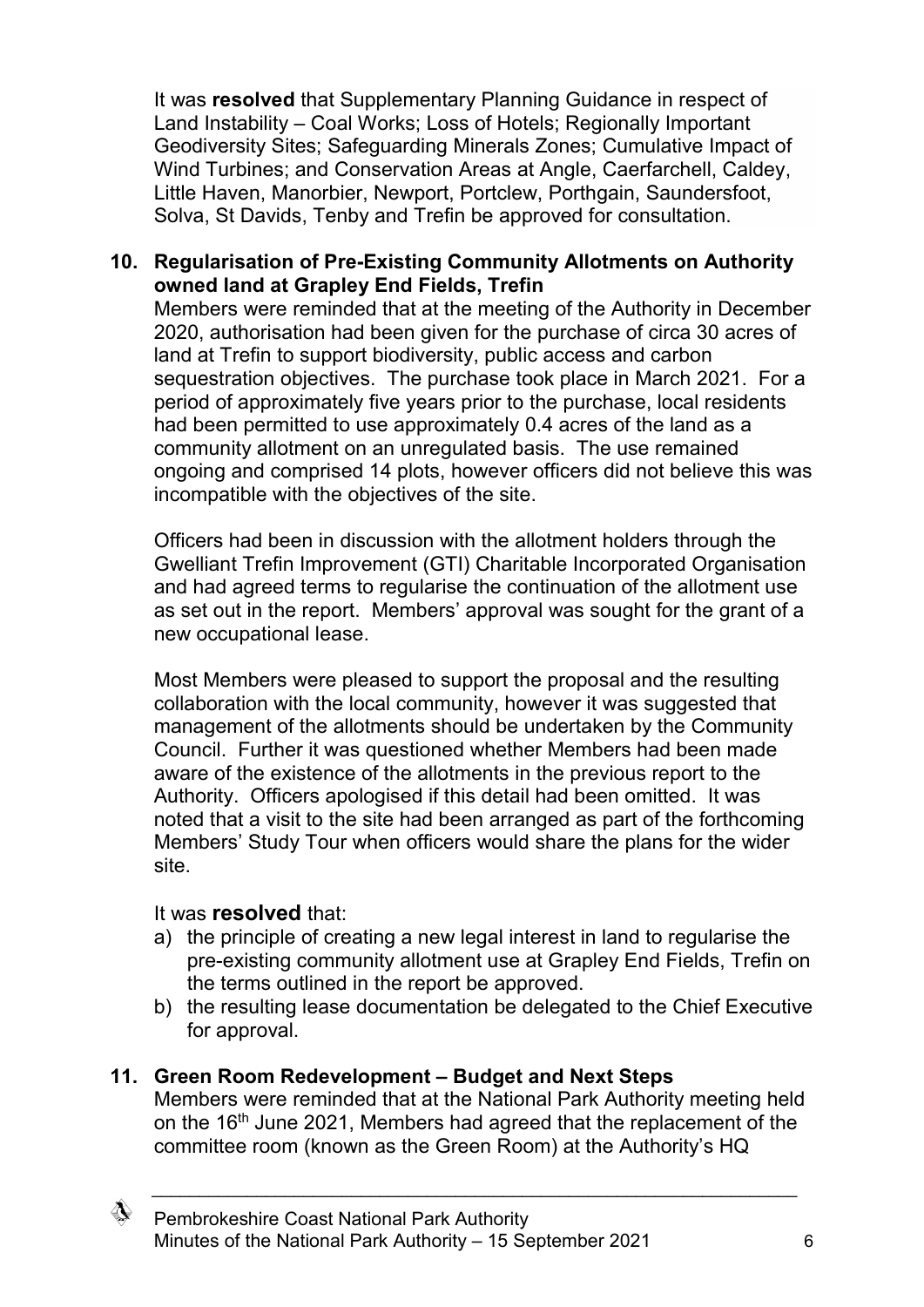It was **resolved** that Supplementary Planning Guidance in respect of Land Instability – Coal Works; Loss of Hotels; Regionally Important Geodiversity Sites; Safeguarding Minerals Zones; Cumulative Impact of Wind Turbines; and Conservation Areas at Angle, Caerfarchell, Caldey, Little Haven, Manorbier, Newport, Portclew, Porthgain, Saundersfoot, Solva, St Davids, Tenby and Trefin be approved for consultation.

### **10. Regularisation of Pre-Existing Community Allotments on Authority owned land at Grapley End Fields, Trefin**

Members were reminded that at the meeting of the Authority in December 2020, authorisation had been given for the purchase of circa 30 acres of land at Trefin to support biodiversity, public access and carbon sequestration objectives. The purchase took place in March 2021. For a period of approximately five years prior to the purchase, local residents had been permitted to use approximately 0.4 acres of the land as a community allotment on an unregulated basis. The use remained ongoing and comprised 14 plots, however officers did not believe this was incompatible with the objectives of the site.

Officers had been in discussion with the allotment holders through the Gwelliant Trefin Improvement (GTI) Charitable Incorporated Organisation and had agreed terms to regularise the continuation of the allotment use as set out in the report. Members' approval was sought for the grant of a new occupational lease.

Most Members were pleased to support the proposal and the resulting collaboration with the local community, however it was suggested that management of the allotments should be undertaken by the Community Council. Further it was questioned whether Members had been made aware of the existence of the allotments in the previous report to the Authority. Officers apologised if this detail had been omitted. It was noted that a visit to the site had been arranged as part of the forthcoming Members' Study Tour when officers would share the plans for the wider site.

### It was **resolved** that:

- a) the principle of creating a new legal interest in land to regularise the pre-existing community allotment use at Grapley End Fields, Trefin on the terms outlined in the report be approved.
- b) the resulting lease documentation be delegated to the Chief Executive for approval.

## **11. Green Room Redevelopment – Budget and Next Steps**

Members were reminded that at the National Park Authority meeting held on the 16<sup>th</sup> June 2021, Members had agreed that the replacement of the committee room (known as the Green Room) at the Authority's HQ

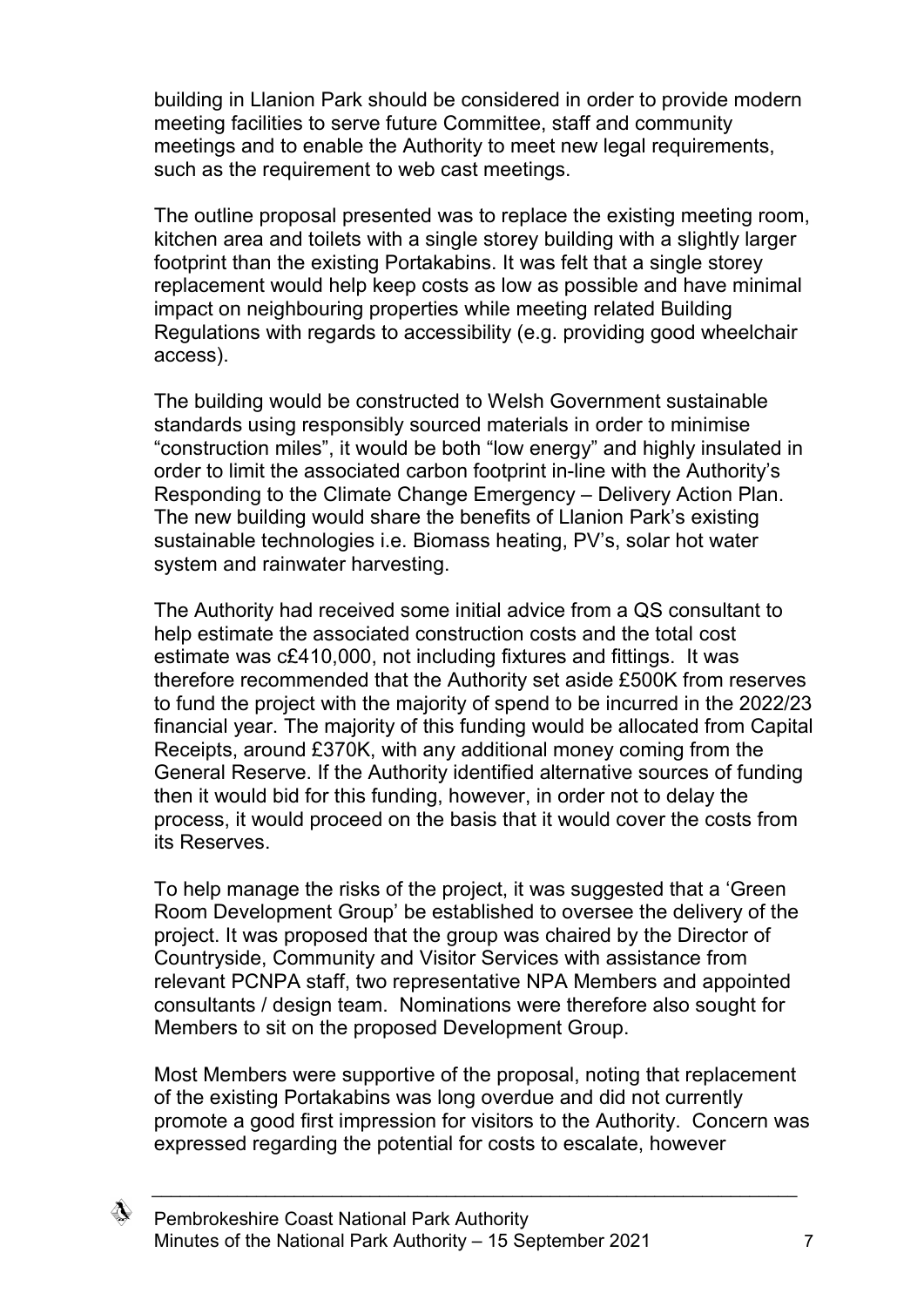building in Llanion Park should be considered in order to provide modern meeting facilities to serve future Committee, staff and community meetings and to enable the Authority to meet new legal requirements, such as the requirement to web cast meetings.

The outline proposal presented was to replace the existing meeting room, kitchen area and toilets with a single storey building with a slightly larger footprint than the existing Portakabins. It was felt that a single storey replacement would help keep costs as low as possible and have minimal impact on neighbouring properties while meeting related Building Regulations with regards to accessibility (e.g. providing good wheelchair access).

The building would be constructed to Welsh Government sustainable standards using responsibly sourced materials in order to minimise "construction miles", it would be both "low energy" and highly insulated in order to limit the associated carbon footprint in-line with the Authority's Responding to the Climate Change Emergency – Delivery Action Plan. The new building would share the benefits of Llanion Park's existing sustainable technologies i.e. Biomass heating, PV's, solar hot water system and rainwater harvesting.

The Authority had received some initial advice from a QS consultant to help estimate the associated construction costs and the total cost estimate was c£410,000, not including fixtures and fittings. It was therefore recommended that the Authority set aside £500K from reserves to fund the project with the majority of spend to be incurred in the 2022/23 financial year. The majority of this funding would be allocated from Capital Receipts, around £370K, with any additional money coming from the General Reserve. If the Authority identified alternative sources of funding then it would bid for this funding, however, in order not to delay the process, it would proceed on the basis that it would cover the costs from its Reserves.

To help manage the risks of the project, it was suggested that a 'Green Room Development Group' be established to oversee the delivery of the project. It was proposed that the group was chaired by the Director of Countryside, Community and Visitor Services with assistance from relevant PCNPA staff, two representative NPA Members and appointed consultants / design team. Nominations were therefore also sought for Members to sit on the proposed Development Group.

Most Members were supportive of the proposal, noting that replacement of the existing Portakabins was long overdue and did not currently promote a good first impression for visitors to the Authority. Concern was expressed regarding the potential for costs to escalate, however

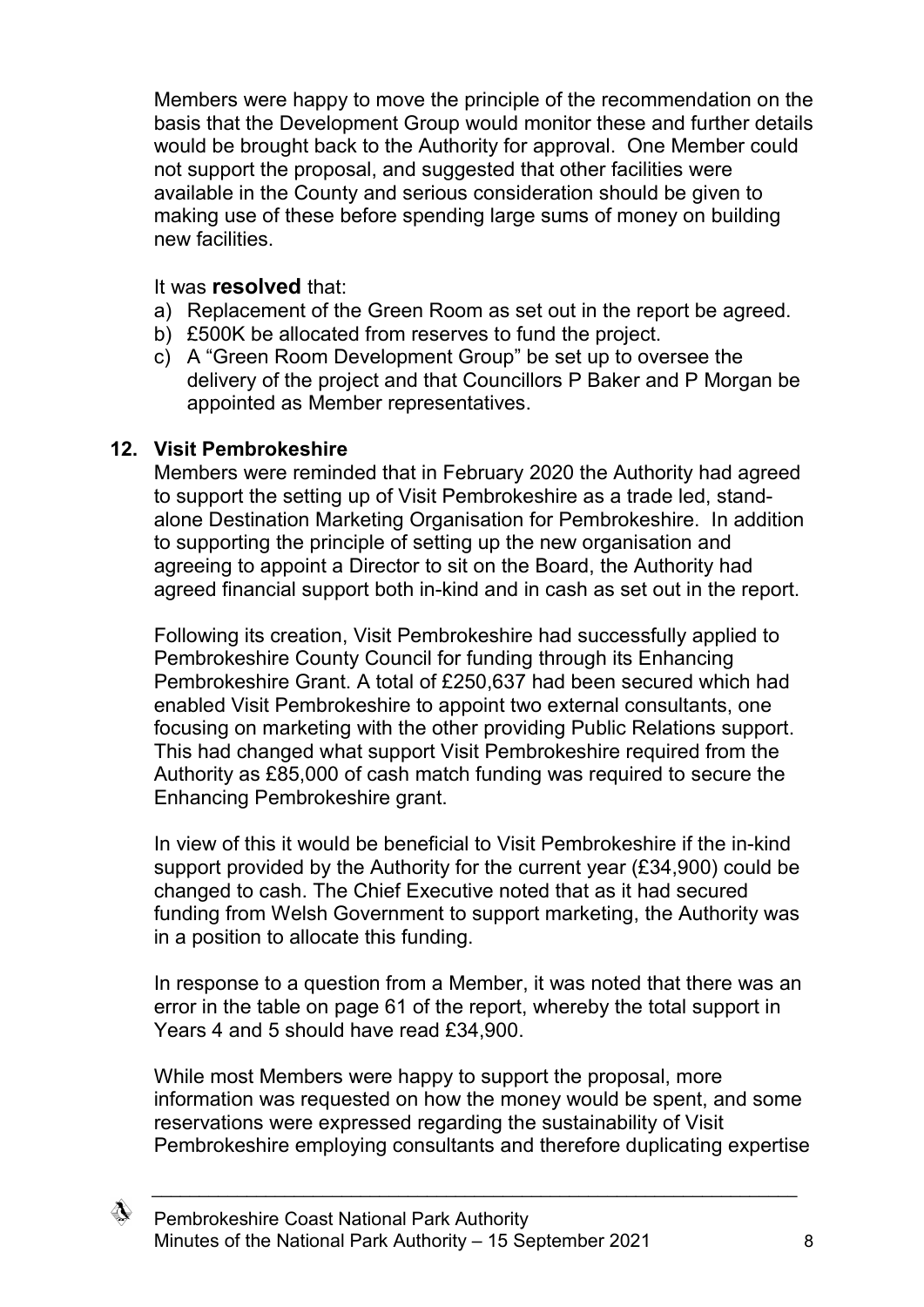Members were happy to move the principle of the recommendation on the basis that the Development Group would monitor these and further details would be brought back to the Authority for approval. One Member could not support the proposal, and suggested that other facilities were available in the County and serious consideration should be given to making use of these before spending large sums of money on building new facilities.

#### It was **resolved** that:

- a) Replacement of the Green Room as set out in the report be agreed.
- b) £500K be allocated from reserves to fund the project.
- c) A "Green Room Development Group" be set up to oversee the delivery of the project and that Councillors P Baker and P Morgan be appointed as Member representatives.

### **12. Visit Pembrokeshire**

Members were reminded that in February 2020 the Authority had agreed to support the setting up of Visit Pembrokeshire as a trade led, standalone Destination Marketing Organisation for Pembrokeshire. In addition to supporting the principle of setting up the new organisation and agreeing to appoint a Director to sit on the Board, the Authority had agreed financial support both in-kind and in cash as set out in the report.

Following its creation, Visit Pembrokeshire had successfully applied to Pembrokeshire County Council for funding through its Enhancing Pembrokeshire Grant. A total of £250,637 had been secured which had enabled Visit Pembrokeshire to appoint two external consultants, one focusing on marketing with the other providing Public Relations support. This had changed what support Visit Pembrokeshire required from the Authority as £85,000 of cash match funding was required to secure the Enhancing Pembrokeshire grant.

In view of this it would be beneficial to Visit Pembrokeshire if the in-kind support provided by the Authority for the current year (£34,900) could be changed to cash. The Chief Executive noted that as it had secured funding from Welsh Government to support marketing, the Authority was in a position to allocate this funding.

In response to a question from a Member, it was noted that there was an error in the table on page 61 of the report, whereby the total support in Years 4 and 5 should have read £34,900.

While most Members were happy to support the proposal, more information was requested on how the money would be spent, and some reservations were expressed regarding the sustainability of Visit Pembrokeshire employing consultants and therefore duplicating expertise